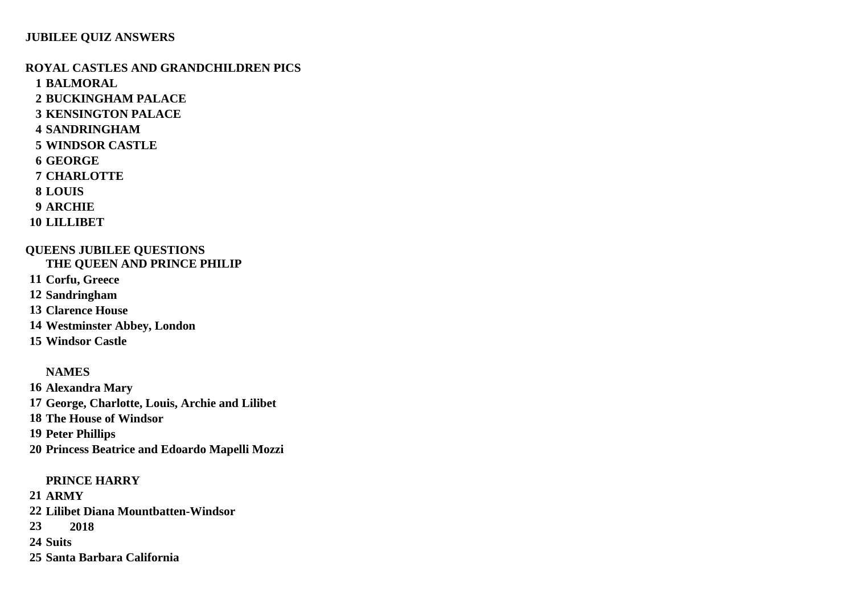#### **ROYAL CASTLES AND GRANDCHILDREN PICS**

**BALMORAL**

**BUCKINGHAM PALACE**

- **KENSINGTON PALACE**
- **SANDRINGHAM**
- **WINDSOR CASTLE**
- **GEORGE**
- **CHARLOTTE**
- **LOUIS**
- **ARCHIE**
- **LILLIBET**

#### **QUEENS JUBILEE QUESTIONS THE QUEEN AND PRINCE PHILIP**

- **Corfu, Greece**
- **Sandringham**
- **Clarence House**
- **Westminster Abbey, London**
- **Windsor Castle**

## **NAMES**

 **Alexandra Mary George, Charlotte, Louis, Archie and Lilibet The House of Windsor Peter Phillips Princess Beatrice and Edoardo Mapelli Mozzi**

### **PRINCE HARRY**

- **ARMY**
- **Lilibet Diana Mountbatten-Windsor**
- **2018**
- **Suits**
- **Santa Barbara California**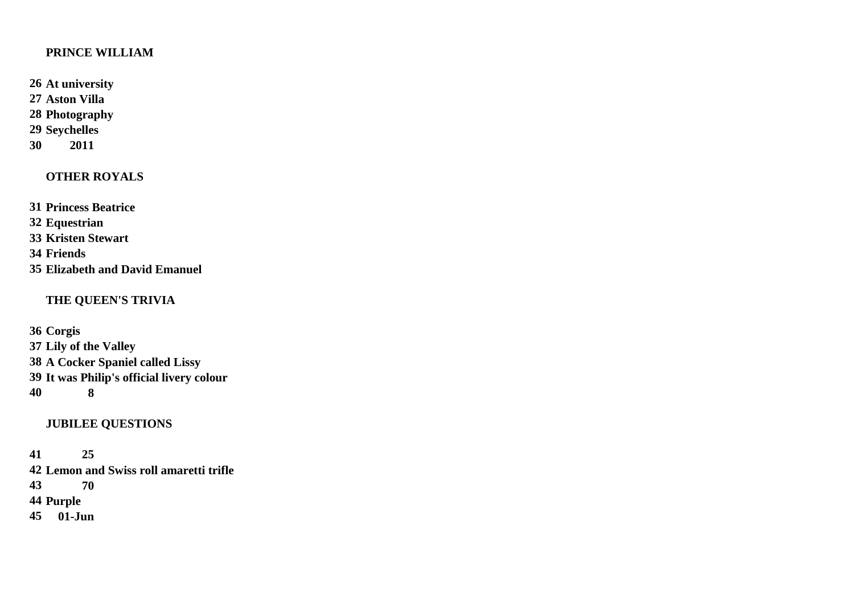### **PRINCE WILLIAM**

**At university**

**Aston Villa**

**Photography**

**Seychelles**

**2011**

# **OTHER ROYALS**

 **Princess Beatrice Equestrian Kristen Stewart Friends**

**Elizabeth and David Emanuel**

## **THE QUEEN'S TRIVIA**

 **Corgis Lily of the Valley [A Cocker Spaniel called Lissy](https://www.countryliving.com/uk/news/a38936667/queens-cocker-spaniel-lissy-championship/) It was Philip's official livery colour 8**

# **JUBILEE QUESTIONS**

# **25**

 **[Lemon and Swiss roll amaretti trifle](https://www.countryliving.com/uk/homes-interiors/interiors/g39988265/best-trifle-bowls/) 70 Purple 01-Jun**